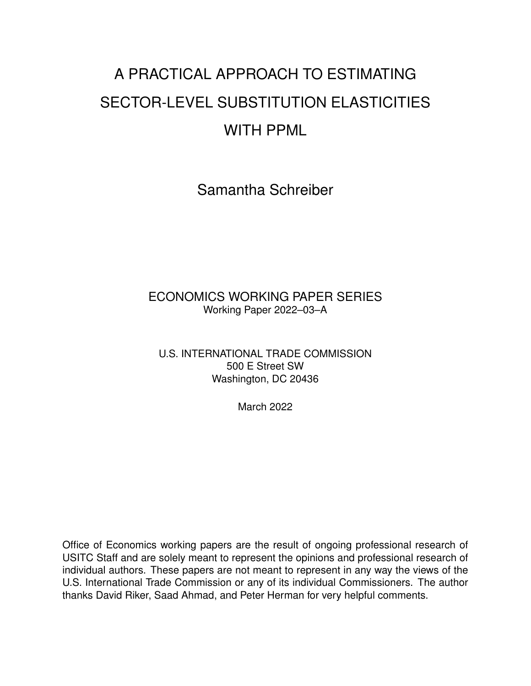# A PRACTICAL APPROACH TO ESTIMATING SECTOR-LEVEL SUBSTITUTION ELASTICITIES WITH PPML

Samantha Schreiber

#### ECONOMICS WORKING PAPER SERIES Working Paper 2022–03–A

U.S. INTERNATIONAL TRADE COMMISSION 500 E Street SW Washington, DC 20436

March 2022

Office of Economics working papers are the result of ongoing professional research of USITC Staff and are solely meant to represent the opinions and professional research of individual authors. These papers are not meant to represent in any way the views of the U.S. International Trade Commission or any of its individual Commissioners. The author thanks David Riker, Saad Ahmad, and Peter Herman for very helpful comments.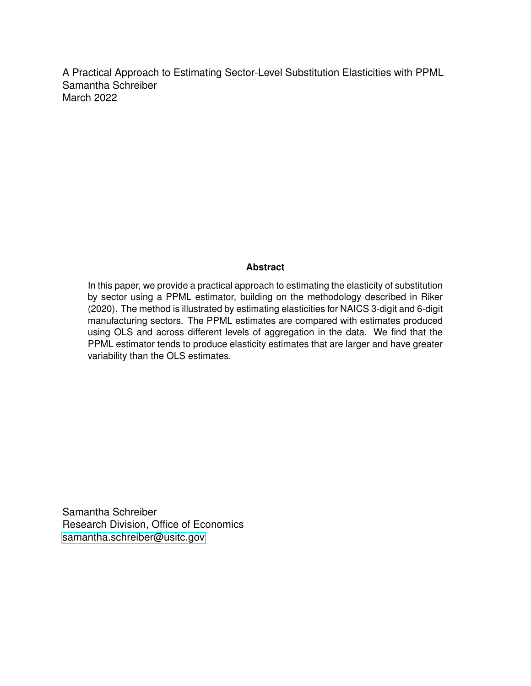A Practical Approach to Estimating Sector-Level Substitution Elasticities with PPML Samantha Schreiber March 2022

#### **Abstract**

In this paper, we provide a practical approach to estimating the elasticity of substitution by sector using a PPML estimator, building on the methodology described in Riker (2020). The method is illustrated by estimating elasticities for NAICS 3-digit and 6-digit manufacturing sectors. The PPML estimates are compared with estimates produced using OLS and across different levels of aggregation in the data. We find that the PPML estimator tends to produce elasticity estimates that are larger and have greater variability than the OLS estimates.

Samantha Schreiber Research Division, Office of Economics [samantha.schreiber@usitc.gov](mailto:samantha.schreiber@usitc.gov)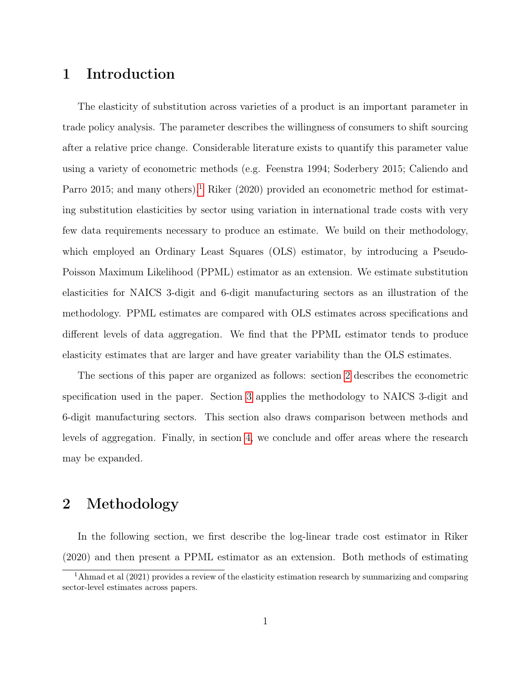#### 1 Introduction

The elasticity of substitution across varieties of a product is an important parameter in trade policy analysis. The parameter describes the willingness of consumers to shift sourcing after a relative price change. Considerable literature exists to quantify this parameter value using a variety of econometric methods (e.g. Feenstra 1994; Soderbery 2015; Caliendo and Parro 20[1](#page-2-0)5; and many others).<sup>1</sup> Riker (2020) provided an econometric method for estimating substitution elasticities by sector using variation in international trade costs with very few data requirements necessary to produce an estimate. We build on their methodology, which employed an Ordinary Least Squares (OLS) estimator, by introducing a Pseudo-Poisson Maximum Likelihood (PPML) estimator as an extension. We estimate substitution elasticities for NAICS 3-digit and 6-digit manufacturing sectors as an illustration of the methodology. PPML estimates are compared with OLS estimates across specifications and different levels of data aggregation. We find that the PPML estimator tends to produce elasticity estimates that are larger and have greater variability than the OLS estimates.

The sections of this paper are organized as follows: section [2](#page-2-1) describes the econometric specification used in the paper. Section [3](#page-5-0) applies the methodology to NAICS 3-digit and 6-digit manufacturing sectors. This section also draws comparison between methods and levels of aggregation. Finally, in section [4,](#page-8-0) we conclude and offer areas where the research may be expanded.

### <span id="page-2-1"></span>2 Methodology

In the following section, we first describe the log-linear trade cost estimator in Riker (2020) and then present a PPML estimator as an extension. Both methods of estimating

<span id="page-2-0"></span><sup>&</sup>lt;sup>1</sup>Ahmad et al (2021) provides a review of the elasticity estimation research by summarizing and comparing sector-level estimates across papers.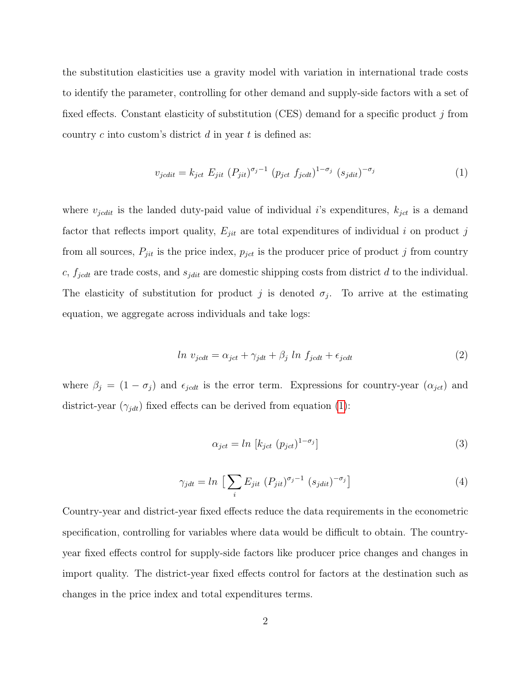the substitution elasticities use a gravity model with variation in international trade costs to identify the parameter, controlling for other demand and supply-side factors with a set of fixed effects. Constant elasticity of substitution (CES) demand for a specific product  $j$  from country c into custom's district  $d$  in year  $t$  is defined as:

<span id="page-3-0"></span>
$$
v_{jcdit} = k_{jct} E_{jit} (P_{jit})^{\sigma_j - 1} (p_{jct} f_{jcdt})^{1 - \sigma_j} (s_{jdit})^{-\sigma_j}
$$
\n
$$
\tag{1}
$$

where  $v_{jcdit}$  is the landed duty-paid value of individual i's expenditures,  $k_{jct}$  is a demand factor that reflects import quality,  $E_{jit}$  are total expenditures of individual i on product j from all sources,  $P_{jit}$  is the price index,  $p_{jet}$  is the producer price of product j from country c,  $f_{jcdt}$  are trade costs, and  $s_{jdit}$  are domestic shipping costs from district d to the individual. The elasticity of substitution for product j is denoted  $\sigma_j$ . To arrive at the estimating equation, we aggregate across individuals and take logs:

<span id="page-3-1"></span>
$$
ln v_{jcdt} = \alpha_{jct} + \gamma_{jdt} + \beta_j ln f_{jcdt} + \epsilon_{jcdt}
$$
\n(2)

where  $\beta_j = (1 - \sigma_j)$  and  $\epsilon_{jcdt}$  is the error term. Expressions for country-year  $(\alpha_{jct})$  and district-year  $(\gamma_{jdt})$  fixed effects can be derived from equation [\(1\)](#page-3-0):

$$
\alpha_{jet} = \ln \left[ k_{jet} \ (p_{jet})^{1-\sigma_j} \right] \tag{3}
$$

$$
\gamma_{jdt} = \ln \left[ \sum_{i} E_{jit} \left( P_{jit} \right)^{\sigma_j - 1} \left( s_{jdit} \right)^{-\sigma_j} \right] \tag{4}
$$

Country-year and district-year fixed effects reduce the data requirements in the econometric specification, controlling for variables where data would be difficult to obtain. The countryyear fixed effects control for supply-side factors like producer price changes and changes in import quality. The district-year fixed effects control for factors at the destination such as changes in the price index and total expenditures terms.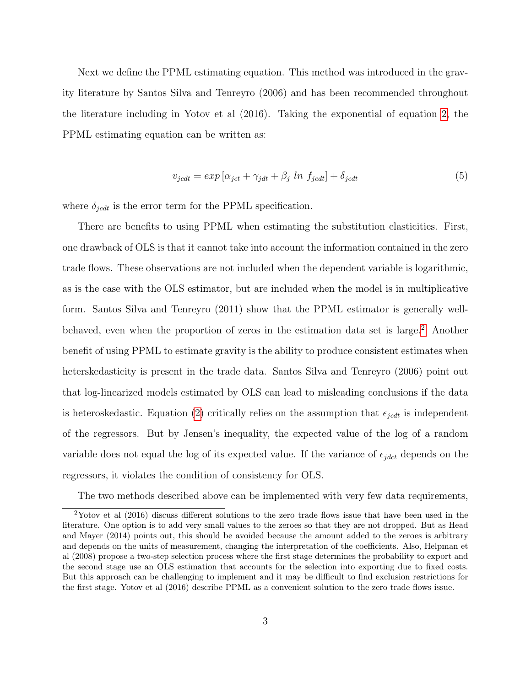Next we define the PPML estimating equation. This method was introduced in the gravity literature by Santos Silva and Tenreyro (2006) and has been recommended throughout the literature including in Yotov et al (2016). Taking the exponential of equation [2,](#page-3-1) the PPML estimating equation can be written as:

<span id="page-4-1"></span>
$$
v_{jcdt} = exp\left[\alpha_{jct} + \gamma_{jdt} + \beta_j \ln f_{jcdt}\right] + \delta_{jcdt} \tag{5}
$$

where  $\delta_{jcdt}$  is the error term for the PPML specification.

There are benefits to using PPML when estimating the substitution elasticities. First, one drawback of OLS is that it cannot take into account the information contained in the zero trade flows. These observations are not included when the dependent variable is logarithmic, as is the case with the OLS estimator, but are included when the model is in multiplicative form. Santos Silva and Tenreyro (2011) show that the PPML estimator is generally well-behaved, even when the proportion of zeros in the estimation data set is large.<sup>[2](#page-4-0)</sup> Another benefit of using PPML to estimate gravity is the ability to produce consistent estimates when heterskedasticity is present in the trade data. Santos Silva and Tenreyro (2006) point out that log-linearized models estimated by OLS can lead to misleading conclusions if the data is heteroskedastic. Equation [\(2\)](#page-3-1) critically relies on the assumption that  $\epsilon_{jcdt}$  is independent of the regressors. But by Jensen's inequality, the expected value of the log of a random variable does not equal the log of its expected value. If the variance of  $\epsilon_{jdet}$  depends on the regressors, it violates the condition of consistency for OLS.

<span id="page-4-0"></span>The two methods described above can be implemented with very few data requirements,

<sup>2</sup>Yotov et al (2016) discuss different solutions to the zero trade flows issue that have been used in the literature. One option is to add very small values to the zeroes so that they are not dropped. But as Head and Mayer (2014) points out, this should be avoided because the amount added to the zeroes is arbitrary and depends on the units of measurement, changing the interpretation of the coefficients. Also, Helpman et al (2008) propose a two-step selection process where the first stage determines the probability to export and the second stage use an OLS estimation that accounts for the selection into exporting due to fixed costs. But this approach can be challenging to implement and it may be difficult to find exclusion restrictions for the first stage. Yotov et al (2016) describe PPML as a convenient solution to the zero trade flows issue.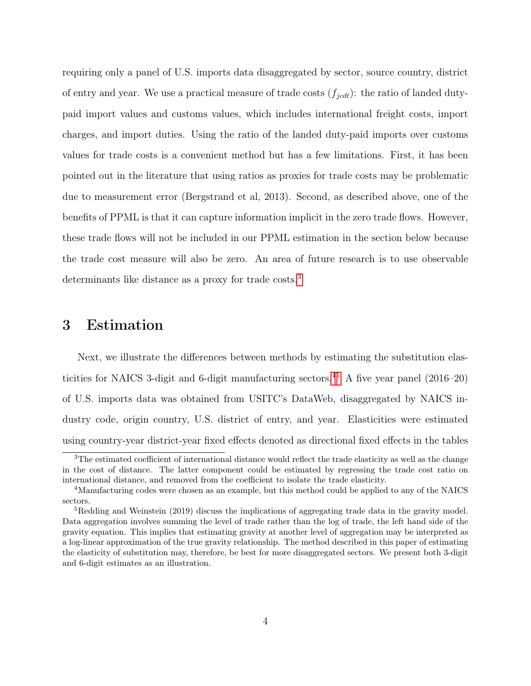requiring only a panel of U.S. imports data disaggregated by sector, source country, district of entry and year. We use a practical measure of trade costs  $(f_{jcdt})$ : the ratio of landed dutypaid import values and customs values, which includes international freight costs, import charges, and import duties. Using the ratio of the landed duty-paid imports over customs values for trade costs is a convenient method but has a few limitations. First, it has been pointed out in the literature that using ratios as proxies for trade costs may be problematic due to measurement error (Bergstrand et al, 2013). Second, as described above, one of the benefits of PPML is that it can capture information implicit in the zero trade flows. However, these trade flows will not be included in our PPML estimation in the section below because the trade cost measure will also be zero. An area of future research is to use observable determinants like distance as a proxy for trade costs.<sup>[3](#page-5-1)</sup>

#### <span id="page-5-0"></span>3 Estimation

Next, we illustrate the differences between methods by estimating the substitution elas-ticities for NAICS 3-digit and 6-digit manufacturing sectors.<sup>[4](#page-5-2)[5](#page-5-3)</sup> A five year panel  $(2016-20)$ of U.S. imports data was obtained from USITC's DataWeb, disaggregated by NAICS industry code, origin country, U.S. district of entry, and year. Elasticities were estimated using country-year district-year fixed effects denoted as directional fixed effects in the tables

<span id="page-5-1"></span><sup>&</sup>lt;sup>3</sup>The estimated coefficient of international distance would reflect the trade elasticity as well as the change in the cost of distance. The latter component could be estimated by regressing the trade cost ratio on international distance, and removed from the coefficient to isolate the trade elasticity.

<span id="page-5-2"></span><sup>&</sup>lt;sup>4</sup>Manufacturing codes were chosen as an example, but this method could be applied to any of the NAICS sectors.

<span id="page-5-3"></span><sup>5</sup>Redding and Weinstein (2019) discuss the implications of aggregating trade data in the gravity model. Data aggregation involves summing the level of trade rather than the log of trade, the left hand side of the gravity equation. This implies that estimating gravity at another level of aggregation may be interpreted as a log-linear approximation of the true gravity relationship. The method described in this paper of estimating the elasticity of substitution may, therefore, be best for more disaggregated sectors. We present both 3-digit and 6-digit estimates as an illustration.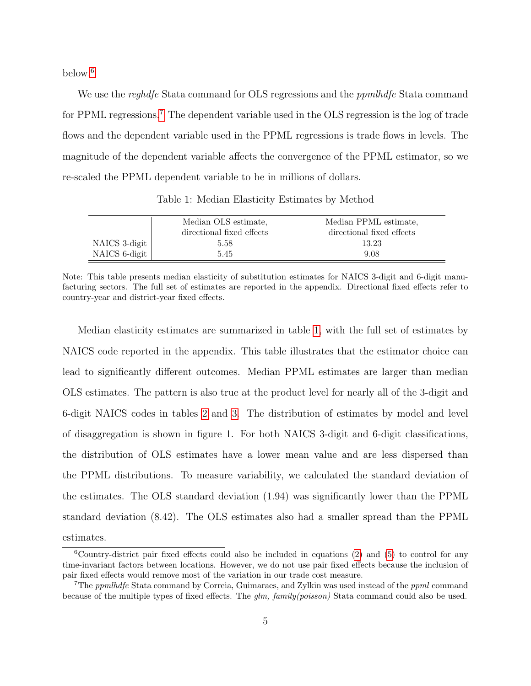below.[6](#page-6-0)

We use the *reghdfe* Stata command for OLS regressions and the *ppmlhdfe* Stata command for PPML regressions.<sup>[7](#page-6-1)</sup> The dependent variable used in the OLS regression is the log of trade flows and the dependent variable used in the PPML regressions is trade flows in levels. The magnitude of the dependent variable affects the convergence of the PPML estimator, so we re-scaled the PPML dependent variable to be in millions of dollars.

<span id="page-6-2"></span>

|               | Median OLS estimate.      | Median PPML estimate,     |
|---------------|---------------------------|---------------------------|
|               | directional fixed effects | directional fixed effects |
| NAICS 3-digit | 5.58                      | 13.23                     |
| NAICS 6-digit | 5.45                      | 9.08                      |

Table 1: Median Elasticity Estimates by Method

Median elasticity estimates are summarized in table [1,](#page-6-2) with the full set of estimates by NAICS code reported in the appendix. This table illustrates that the estimator choice can lead to significantly different outcomes. Median PPML estimates are larger than median OLS estimates. The pattern is also true at the product level for nearly all of the 3-digit and 6-digit NAICS codes in tables [2](#page-12-0) and [3.](#page-13-0) The distribution of estimates by model and level of disaggregation is shown in figure 1. For both NAICS 3-digit and 6-digit classifications, the distribution of OLS estimates have a lower mean value and are less dispersed than the PPML distributions. To measure variability, we calculated the standard deviation of the estimates. The OLS standard deviation (1.94) was significantly lower than the PPML standard deviation (8.42). The OLS estimates also had a smaller spread than the PPML estimates.

Note: This table presents median elasticity of substitution estimates for NAICS 3-digit and 6-digit manufacturing sectors. The full set of estimates are reported in the appendix. Directional fixed effects refer to country-year and district-year fixed effects.

<span id="page-6-0"></span> $6$ Country-district pair fixed effects could also be included in equations [\(2\)](#page-3-1) and [\(5\)](#page-4-1) to control for any time-invariant factors between locations. However, we do not use pair fixed effects because the inclusion of pair fixed effects would remove most of the variation in our trade cost measure.

<span id="page-6-1"></span><sup>&</sup>lt;sup>7</sup>The *ppmlhdfe* Stata command by Correia, Guimaraes, and Zylkin was used instead of the *ppml* command because of the multiple types of fixed effects. The glm, family(poisson) Stata command could also be used.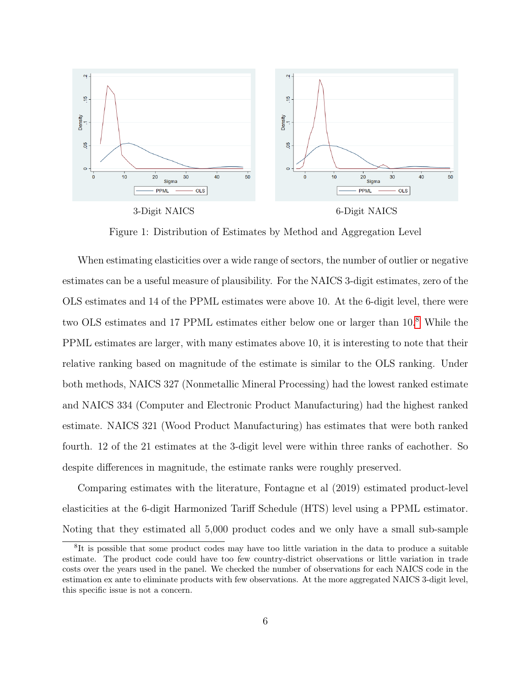

Figure 1: Distribution of Estimates by Method and Aggregation Level

When estimating elasticities over a wide range of sectors, the number of outlier or negative estimates can be a useful measure of plausibility. For the NAICS 3-digit estimates, zero of the OLS estimates and 14 of the PPML estimates were above 10. At the 6-digit level, there were two OLS estimates and 17 PPML estimates either below one or larger than 10.[8](#page-7-0) While the PPML estimates are larger, with many estimates above 10, it is interesting to note that their relative ranking based on magnitude of the estimate is similar to the OLS ranking. Under both methods, NAICS 327 (Nonmetallic Mineral Processing) had the lowest ranked estimate and NAICS 334 (Computer and Electronic Product Manufacturing) had the highest ranked estimate. NAICS 321 (Wood Product Manufacturing) has estimates that were both ranked fourth. 12 of the 21 estimates at the 3-digit level were within three ranks of eachother. So despite differences in magnitude, the estimate ranks were roughly preserved.

Comparing estimates with the literature, Fontagne et al (2019) estimated product-level elasticities at the 6-digit Harmonized Tariff Schedule (HTS) level using a PPML estimator. Noting that they estimated all 5,000 product codes and we only have a small sub-sample

<span id="page-7-0"></span><sup>&</sup>lt;sup>8</sup>It is possible that some product codes may have too little variation in the data to produce a suitable estimate. The product code could have too few country-district observations or little variation in trade costs over the years used in the panel. We checked the number of observations for each NAICS code in the estimation ex ante to eliminate products with few observations. At the more aggregated NAICS 3-digit level, this specific issue is not a concern.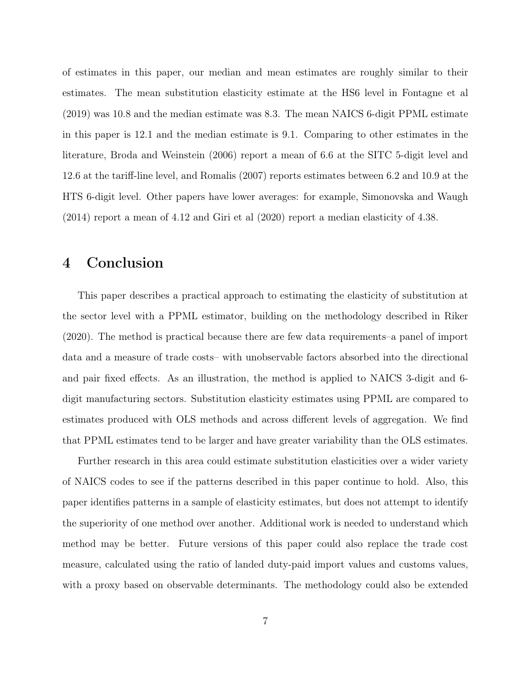of estimates in this paper, our median and mean estimates are roughly similar to their estimates. The mean substitution elasticity estimate at the HS6 level in Fontagne et al (2019) was 10.8 and the median estimate was 8.3. The mean NAICS 6-digit PPML estimate in this paper is 12.1 and the median estimate is 9.1. Comparing to other estimates in the literature, Broda and Weinstein (2006) report a mean of 6.6 at the SITC 5-digit level and 12.6 at the tariff-line level, and Romalis (2007) reports estimates between 6.2 and 10.9 at the HTS 6-digit level. Other papers have lower averages: for example, Simonovska and Waugh (2014) report a mean of 4.12 and Giri et al (2020) report a median elasticity of 4.38.

#### <span id="page-8-0"></span>4 Conclusion

This paper describes a practical approach to estimating the elasticity of substitution at the sector level with a PPML estimator, building on the methodology described in Riker (2020). The method is practical because there are few data requirements–a panel of import data and a measure of trade costs– with unobservable factors absorbed into the directional and pair fixed effects. As an illustration, the method is applied to NAICS 3-digit and 6 digit manufacturing sectors. Substitution elasticity estimates using PPML are compared to estimates produced with OLS methods and across different levels of aggregation. We find that PPML estimates tend to be larger and have greater variability than the OLS estimates.

Further research in this area could estimate substitution elasticities over a wider variety of NAICS codes to see if the patterns described in this paper continue to hold. Also, this paper identifies patterns in a sample of elasticity estimates, but does not attempt to identify the superiority of one method over another. Additional work is needed to understand which method may be better. Future versions of this paper could also replace the trade cost measure, calculated using the ratio of landed duty-paid import values and customs values, with a proxy based on observable determinants. The methodology could also be extended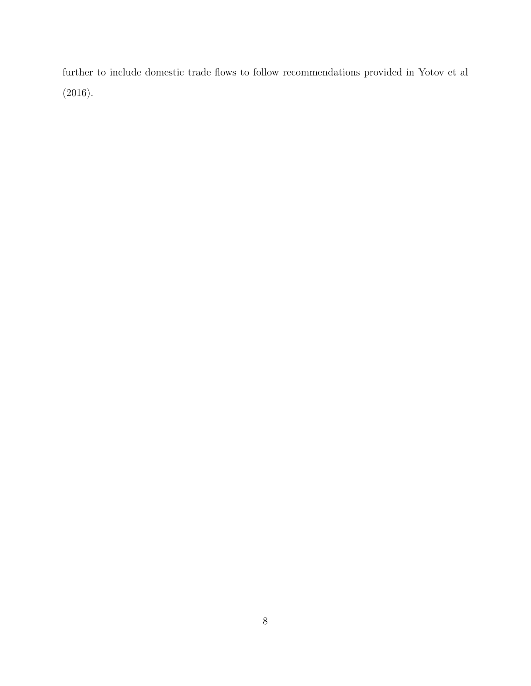further to include domestic trade flows to follow recommendations provided in Yotov et al (2016).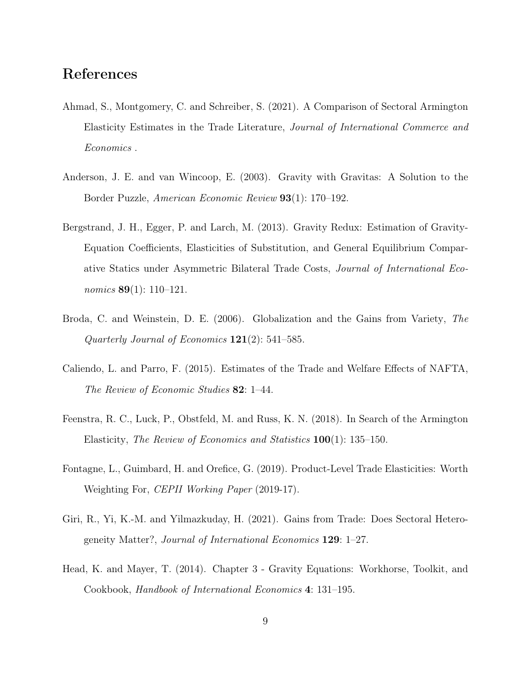### References

- Ahmad, S., Montgomery, C. and Schreiber, S. (2021). A Comparison of Sectoral Armington Elasticity Estimates in the Trade Literature, Journal of International Commerce and Economics .
- Anderson, J. E. and van Wincoop, E. (2003). Gravity with Gravitas: A Solution to the Border Puzzle, American Economic Review 93(1): 170–192.
- Bergstrand, J. H., Egger, P. and Larch, M. (2013). Gravity Redux: Estimation of Gravity-Equation Coefficients, Elasticities of Substitution, and General Equilibrium Comparative Statics under Asymmetric Bilateral Trade Costs, Journal of International Economics **89**(1): 110–121.
- Broda, C. and Weinstein, D. E. (2006). Globalization and the Gains from Variety, The Quarterly Journal of Economics  $121(2)$ : 541–585.
- Caliendo, L. and Parro, F. (2015). Estimates of the Trade and Welfare Effects of NAFTA, The Review of Economic Studies 82: 1–44.
- Feenstra, R. C., Luck, P., Obstfeld, M. and Russ, K. N. (2018). In Search of the Armington Elasticity, The Review of Economics and Statistics 100(1): 135–150.
- Fontagne, L., Guimbard, H. and Orefice, G. (2019). Product-Level Trade Elasticities: Worth Weighting For, CEPII Working Paper (2019-17).
- Giri, R., Yi, K.-M. and Yilmazkuday, H. (2021). Gains from Trade: Does Sectoral Heterogeneity Matter?, Journal of International Economics 129: 1–27.
- Head, K. and Mayer, T. (2014). Chapter 3 Gravity Equations: Workhorse, Toolkit, and Cookbook, Handbook of International Economics 4: 131–195.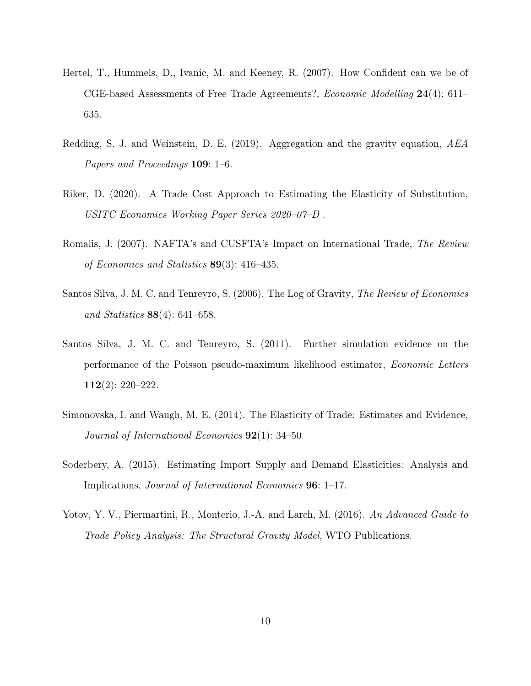- Hertel, T., Hummels, D., Ivanic, M. and Keeney, R. (2007). How Confident can we be of CGE-based Assessments of Free Trade Agreements?, Economic Modelling 24(4): 611– 635.
- Redding, S. J. and Weinstein, D. E. (2019). Aggregation and the gravity equation, AEA Papers and Proceedings 109: 1–6.
- Riker, D. (2020). A Trade Cost Approach to Estimating the Elasticity of Substitution, USITC Economics Working Paper Series 2020–07–D .
- Romalis, J. (2007). NAFTA's and CUSFTA's Impact on International Trade, The Review of Economics and Statistics 89(3): 416–435.
- Santos Silva, J. M. C. and Tenreyro, S. (2006). The Log of Gravity, The Review of Economics and Statistics 88(4): 641–658.
- Santos Silva, J. M. C. and Tenreyro, S. (2011). Further simulation evidence on the performance of the Poisson pseudo-maximum likelihood estimator, Economic Letters 112(2): 220–222.
- Simonovska, I. and Waugh, M. E. (2014). The Elasticity of Trade: Estimates and Evidence, Journal of International Economics 92(1): 34–50.
- Soderbery, A. (2015). Estimating Import Supply and Demand Elasticities: Analysis and Implications, Journal of International Economics 96: 1–17.
- Yotov, Y. V., Piermartini, R., Monterio, J.-A. and Larch, M. (2016). An Advanced Guide to Trade Policy Analysis: The Structural Gravity Model, WTO Publications.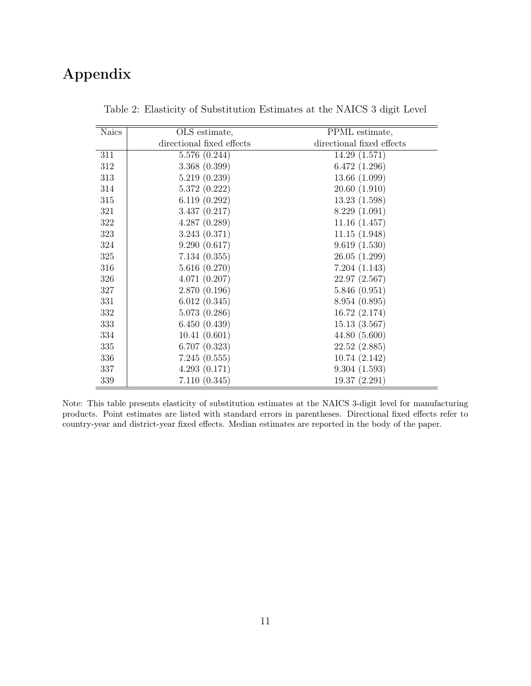## <span id="page-12-0"></span>Appendix

| Naics | OLS estimate,             | PPML estimate,            |
|-------|---------------------------|---------------------------|
|       | directional fixed effects | directional fixed effects |
| 311   | 5.576(0.244)              | 14.29(1.571)              |
| 312   | 3.368(0.399)              | 6.472(1.296)              |
| 313   | 5.219(0.239)              | 13.66(1.099)              |
| 314   | 5.372(0.222)              | 20.60(1.910)              |
| 315   | 6.119(0.292)              | 13.23(1.598)              |
| 321   | 3.437(0.217)              | 8.229(1.091)              |
| 322   | 4.287(0.289)              | 11.16(1.457)              |
| 323   | 3.243(0.371)              | 11.15(1.948)              |
| 324   | 9.290(0.617)              | 9.619(1.530)              |
| 325   | 7.134(0.355)              | 26.05(1.299)              |
| 316   | 5.616(0.270)              | 7.204(1.143)              |
| 326   | 4.071(0.207)              | 22.97(2.567)              |
| 327   | 2.870(0.196)              | 5.846(0.951)              |
| 331   | 6.012(0.345)              | 8.954 (0.895)             |
| 332   | 5.073(0.286)              | 16.72(2.174)              |
| 333   | 6.450(0.439)              | 15.13(3.567)              |
| 334   | 10.41(0.601)              | 44.80(5.600)              |
| 335   | 6.707(0.323)              | 22.52(2.885)              |
| 336   | 7.245(0.555)              | 10.74(2.142)              |
| 337   | 4.293(0.171)              | 9.304(1.593)              |
| 339   | 7.110(0.345)              | 19.37(2.291)              |

Table 2: Elasticity of Substitution Estimates at the NAICS 3 digit Level

Note: This table presents elasticity of substitution estimates at the NAICS 3-digit level for manufacturing products. Point estimates are listed with standard errors in parentheses. Directional fixed effects refer to country-year and district-year fixed effects. Median estimates are reported in the body of the paper.